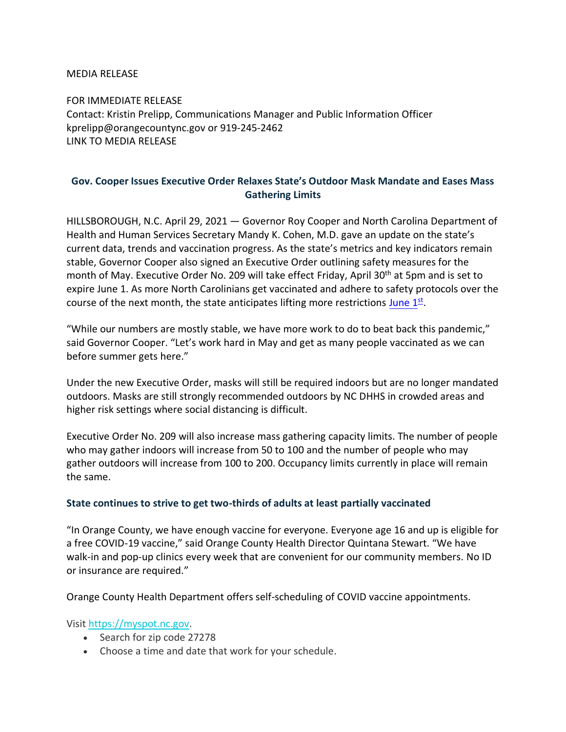MEDIA RELEASE

FOR IMMEDIATE RELEASE Contact: Kristin Prelipp, Communications Manager and Public Information Officer kprelipp@orangecountync.gov or 919-245-2462 [LINK TO MEDIA RELEASE](https://www.orangecountync.gov/DocumentCenter/View/15602/Gov-Cooper-Issues-Executive-Order-to-Relax-States-Outdoor-Mask-Mandate-and-Ease-Mass-Gathering-Limits-FINAL)

## **Gov. Cooper Issues Executive Order Relaxes State's Outdoor Mask Mandate and Eases Mass Gathering Limits**

HILLSBOROUGH, N.C. April 29, 2021 ― Governor Roy Cooper and North Carolina Department of Health and Human Services Secretary Mandy K. Cohen, M.D. gave an update on the state's current data, trends and vaccination progress. As the state's metrics and key indicators remain stable, Governor Cooper also signed an Executive Order outlining safety measures for the month of May. Executive Order No. 209 will take effect Friday, April 30<sup>th</sup> at 5pm and is set to expire June 1. As more North Carolinians get vaccinated and adhere to safety protocols over the course of the next month, the state anticipates lifting more restrictions June  $1<sup>st</sup>$ .

"While our numbers are mostly stable, we have more work to do to beat back this pandemic," said Governor Cooper. "Let's work hard in May and get as many people vaccinated as we can before summer gets here."

Under the new Executive Order, masks will still be required indoors but are no longer mandated outdoors. Masks are still strongly recommended outdoors by NC DHHS in crowded areas and higher risk settings where social distancing is difficult.

Executive Order No. 209 will also increase mass gathering capacity limits. The number of people who may gather indoors will increase from 50 to 100 and the number of people who may gather outdoors will increase from 100 to 200. Occupancy limits currently in place will remain the same.

## **State continues to strive to get two-thirds of adults at least partially vaccinated**

"In Orange County, we have enough vaccine for everyone. Everyone age 16 and up is eligible for a free COVID-19 vaccine," said Orange County Health Director Quintana Stewart. "We have walk-in and pop-up clinics every week that are convenient for our community members. No ID or insurance are required."

Orange County Health Department offers self-scheduling of COVID vaccine appointments.

## Visit [https://myspot.nc.gov.](https://urldefense.proofpoint.com/v2/url?u=http-3A__myspot.nc.gov&d=DwMCaQ&c=JRU6Crajf79kKcplUJFHFfpcQ9GkS9xWLut8YRTooJY&r=jOXzuifjiZc3Ov2mPmM4Tip3imXDW4t0UJJubbozEO8&m=1X3DOiK8p5IhO4xkzV5ao-vzVs6Ll8_iJDsfhv0rM_8&s=fb3tI0SAkbo7LIOdn9A1cs6MhqxnmoPXOWt33tlnKmg&e=)

- Search for zip code 27278
- Choose a time and date that work for your schedule.